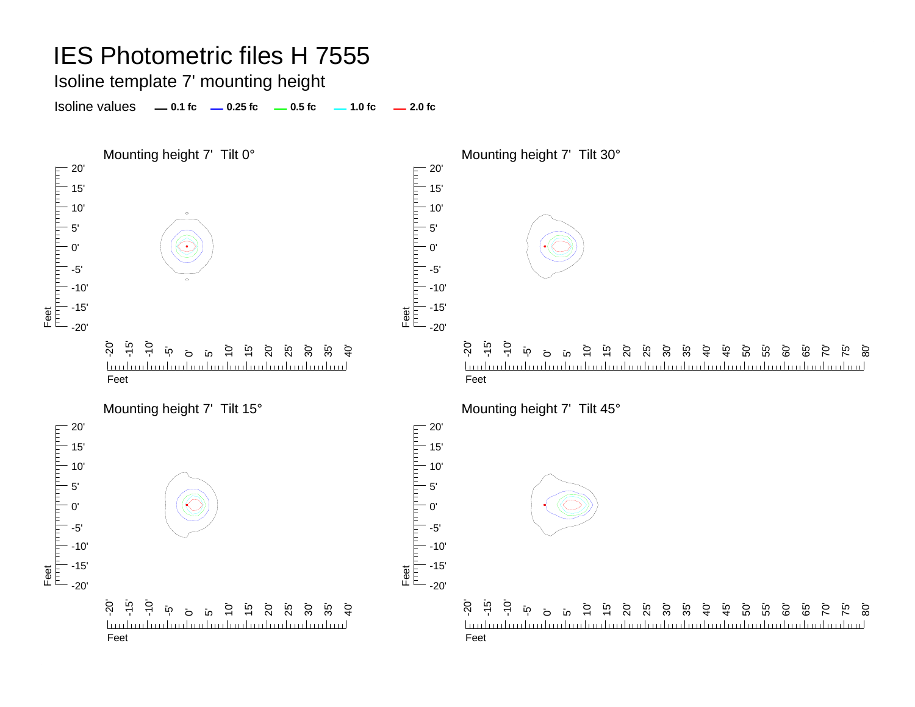Isoline template 7' mounting height

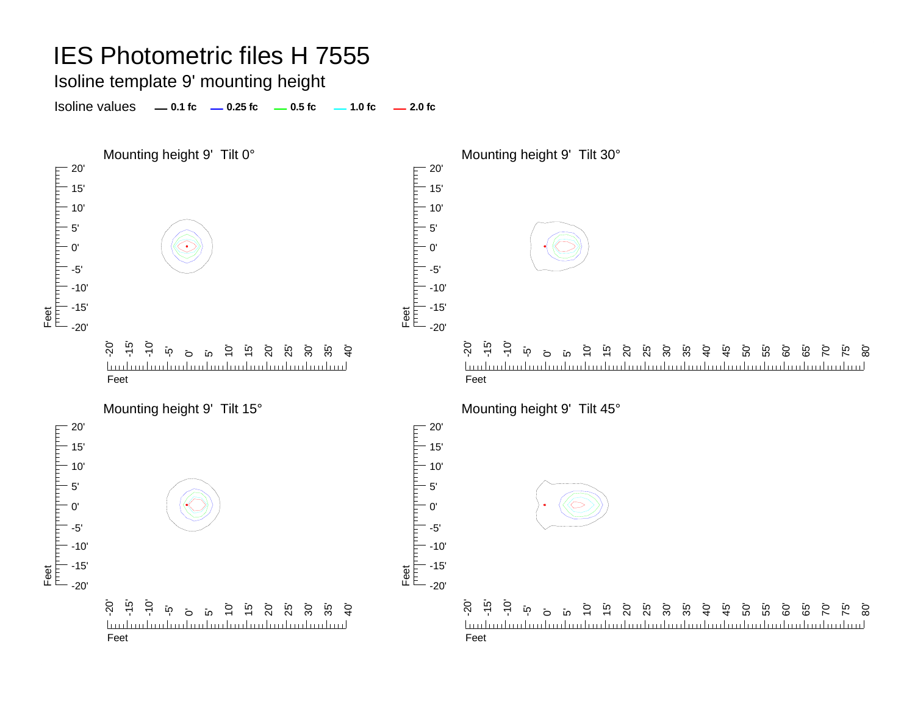#### Isoline template 9' mounting height

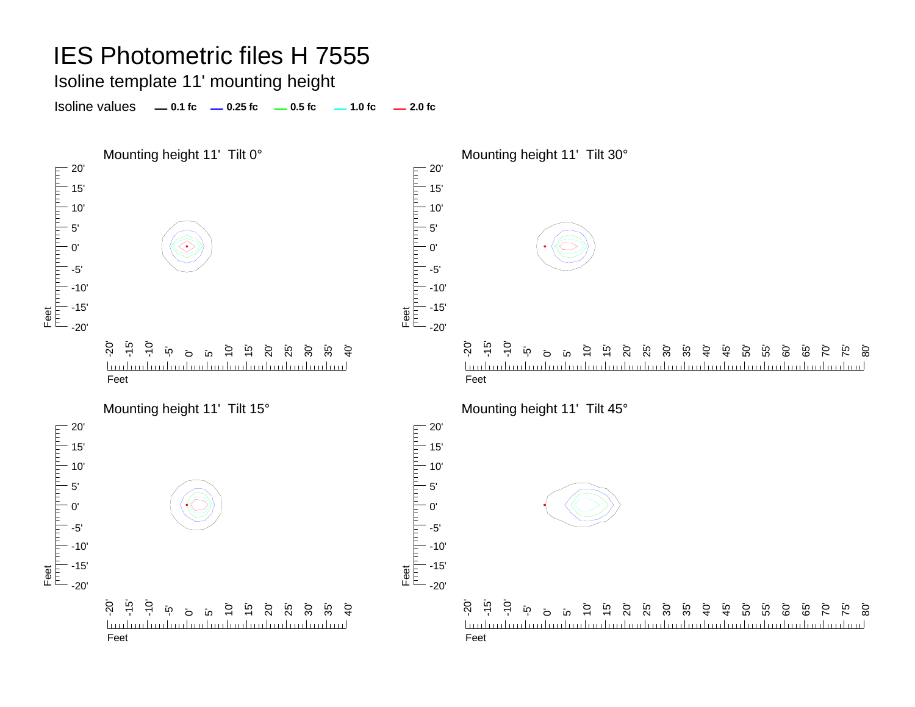Isoline template 11' mounting height

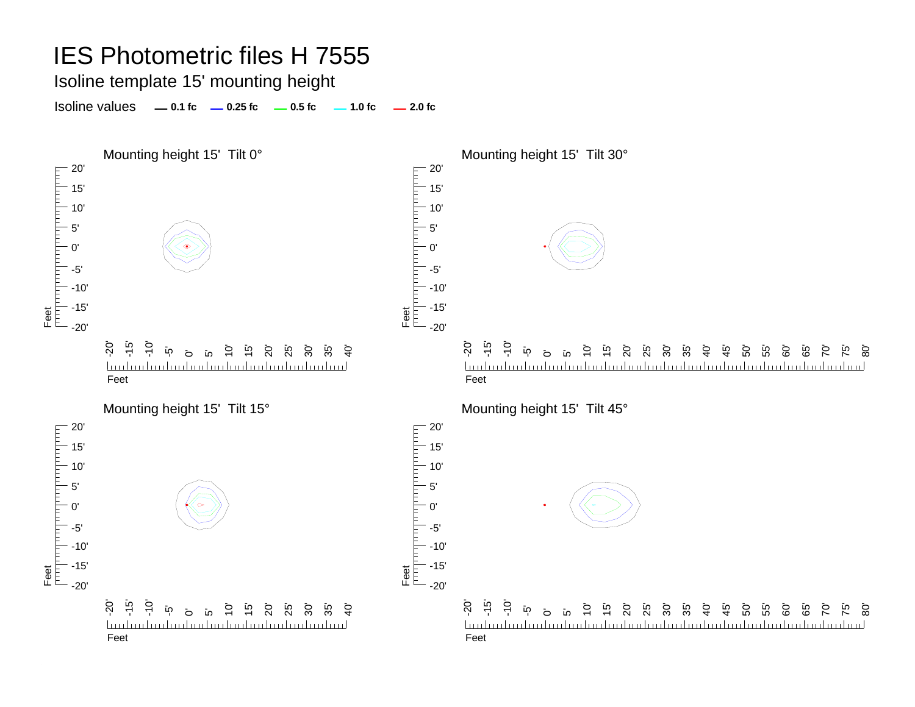Isoline template 15' mounting height

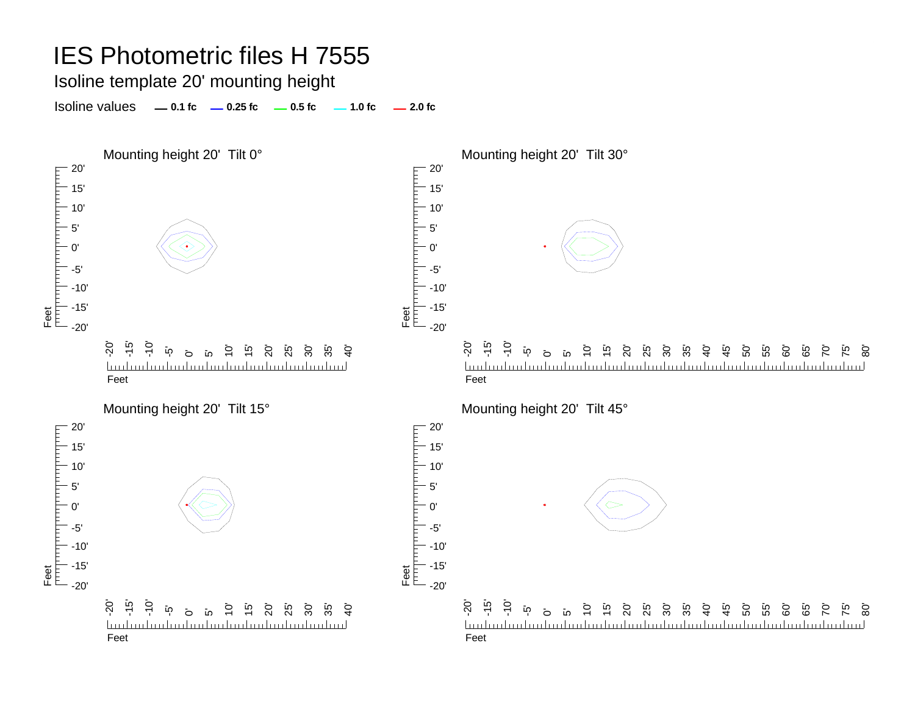Isoline template 20' mounting height

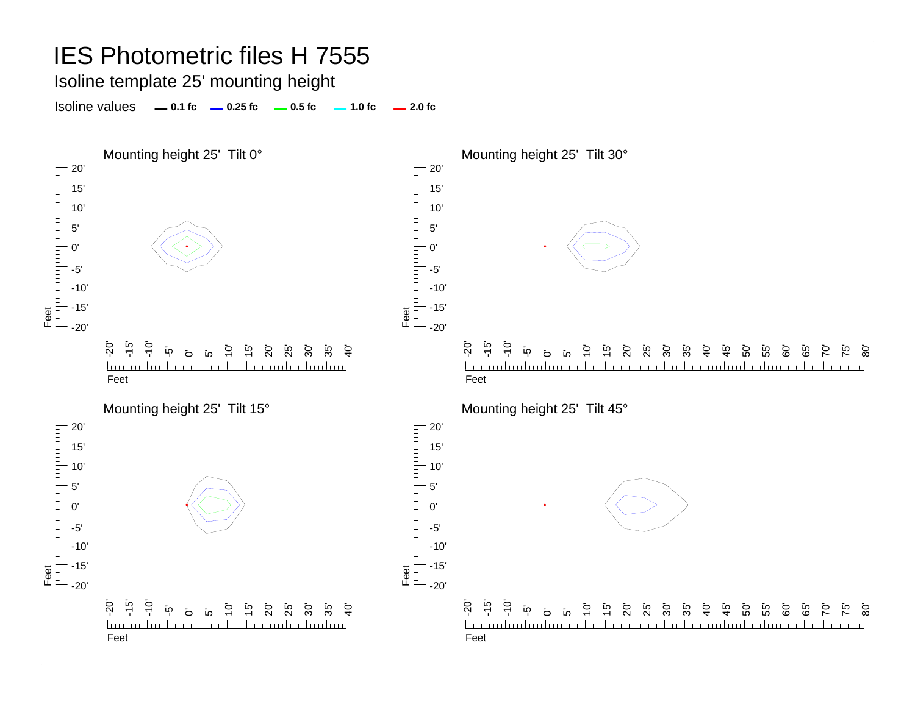Isoline template 25' mounting height